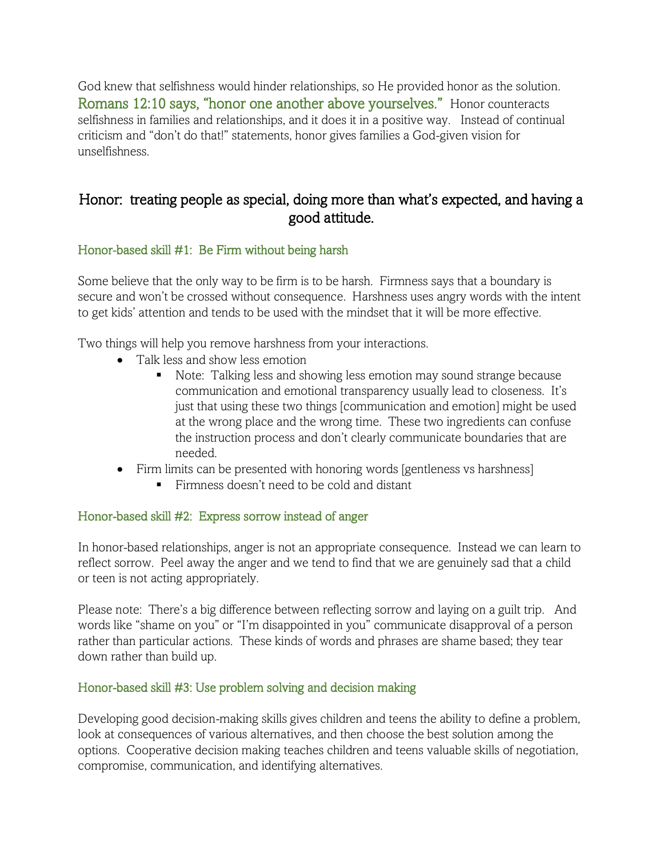God knew that selfishness would hinder relationships, so He provided honor as the solution. Romans 12:10 says, "honor one another above yourselves." Honor counteracts selfishness in families and relationships, and it does it in a positive way. Instead of continual criticism and "don't do that!" statements, honor gives families a God-given vision for unselfishness.

# Honor: treating people as special, doing more than what's expected, and having a good attitude.

# Honor-based skill #1: Be Firm without being harsh

Some believe that the only way to be firm is to be harsh. Firmness says that a boundary is secure and won't be crossed without consequence. Harshness uses angry words with the intent to get kids' attention and tends to be used with the mindset that it will be more effective.

Two things will help you remove harshness from your interactions.

- Talk less and show less emotion
	- Note: Talking less and showing less emotion may sound strange because communication and emotional transparency usually lead to closeness. It's just that using these two things [communication and emotion] might be used at the wrong place and the wrong time. These two ingredients can confuse the instruction process and don't clearly communicate boundaries that are needed.
- Firm limits can be presented with honoring words [gentleness vs harshness]
	- Firmness doesn't need to be cold and distant

# Honor-based skill #2: Express sorrow instead of anger

In honor-based relationships, anger is not an appropriate consequence. Instead we can learn to reflect sorrow. Peel away the anger and we tend to find that we are genuinely sad that a child or teen is not acting appropriately.

Please note: There's a big difference between reflecting sorrow and laying on a guilt trip. And words like "shame on you" or "I'm disappointed in you" communicate disapproval of a person rather than particular actions. These kinds of words and phrases are shame based; they tear down rather than build up.

#### Honor-based skill #3: Use problem solving and decision making

Developing good decision-making skills gives children and teens the ability to define a problem, look at consequences of various alternatives, and then choose the best solution among the options. Cooperative decision making teaches children and teens valuable skills of negotiation, compromise, communication, and identifying alternatives.